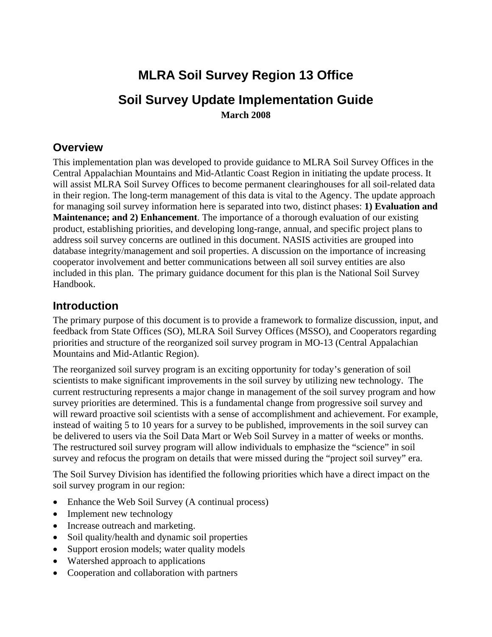# **MLRA Soil Survey Region 13 Office Soil Survey Update Implementation Guide March 2008**

#### **Overview**

This implementation plan was developed to provide guidance to MLRA Soil Survey Offices in the Central Appalachian Mountains and Mid-Atlantic Coast Region in initiating the update process. It will assist MLRA Soil Survey Offices to become permanent clearinghouses for all soil-related data in their region. The long-term management of this data is vital to the Agency. The update approach for managing soil survey information here is separated into two, distinct phases: **1) Evaluation and Maintenance; and 2) Enhancement**. The importance of a thorough evaluation of our existing product, establishing priorities, and developing long-range, annual, and specific project plans to address soil survey concerns are outlined in this document. NASIS activities are grouped into database integrity/management and soil properties. A discussion on the importance of increasing cooperator involvement and better communications between all soil survey entities are also included in this plan. The primary guidance document for this plan is the National Soil Survey Handbook.

### **Introduction**

The primary purpose of this document is to provide a framework to formalize discussion, input, and feedback from State Offices (SO), MLRA Soil Survey Offices (MSSO), and Cooperators regarding priorities and structure of the reorganized soil survey program in MO-13 (Central Appalachian Mountains and Mid-Atlantic Region).

The reorganized soil survey program is an exciting opportunity for today's generation of soil scientists to make significant improvements in the soil survey by utilizing new technology. The current restructuring represents a major change in management of the soil survey program and how survey priorities are determined. This is a fundamental change from progressive soil survey and will reward proactive soil scientists with a sense of accomplishment and achievement. For example, instead of waiting 5 to 10 years for a survey to be published, improvements in the soil survey can be delivered to users via the Soil Data Mart or Web Soil Survey in a matter of weeks or months. The restructured soil survey program will allow individuals to emphasize the "science" in soil survey and refocus the program on details that were missed during the "project soil survey" era.

The Soil Survey Division has identified the following priorities which have a direct impact on the soil survey program in our region:

- Enhance the Web Soil Survey (A continual process)
- Implement new technology
- Increase outreach and marketing.
- Soil quality/health and dynamic soil properties
- Support erosion models; water quality models
- Watershed approach to applications
- Cooperation and collaboration with partners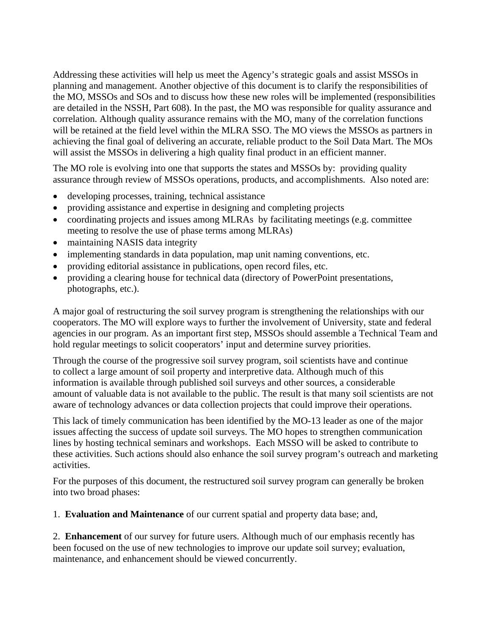Addressing these activities will help us meet the Agency's strategic goals and assist MSSOs in planning and management. Another objective of this document is to clarify the responsibilities of the MO, MSSOs and SOs and to discuss how these new roles will be implemented (responsibilities are detailed in the NSSH, Part 608). In the past, the MO was responsible for quality assurance and correlation. Although quality assurance remains with the MO, many of the correlation functions will be retained at the field level within the MLRA SSO. The MO views the MSSOs as partners in achieving the final goal of delivering an accurate, reliable product to the Soil Data Mart. The MOs will assist the MSSOs in delivering a high quality final product in an efficient manner.

The MO role is evolving into one that supports the states and MSSOs by: providing quality assurance through review of MSSOs operations, products, and accomplishments. Also noted are:

- developing processes, training, technical assistance
- providing assistance and expertise in designing and completing projects
- coordinating projects and issues among MLRAs by facilitating meetings (e.g. committee meeting to resolve the use of phase terms among MLRAs)
- maintaining NASIS data integrity
- implementing standards in data population, map unit naming conventions, etc.
- providing editorial assistance in publications, open record files, etc.
- providing a clearing house for technical data (directory of PowerPoint presentations, photographs, etc.).

A major goal of restructuring the soil survey program is strengthening the relationships with our cooperators. The MO will explore ways to further the involvement of University, state and federal agencies in our program. As an important first step, MSSOs should assemble a Technical Team and hold regular meetings to solicit cooperators' input and determine survey priorities.

Through the course of the progressive soil survey program, soil scientists have and continue to collect a large amount of soil property and interpretive data. Although much of this information is available through published soil surveys and other sources, a considerable amount of valuable data is not available to the public. The result is that many soil scientists are not aware of technology advances or data collection projects that could improve their operations.

This lack of timely communication has been identified by the MO-13 leader as one of the major issues affecting the success of update soil surveys. The MO hopes to strengthen communication lines by hosting technical seminars and workshops. Each MSSO will be asked to contribute to these activities. Such actions should also enhance the soil survey program's outreach and marketing activities.

For the purposes of this document, the restructured soil survey program can generally be broken into two broad phases:

1. **Evaluation and Maintenance** of our current spatial and property data base; and,

2. **Enhancement** of our survey for future users. Although much of our emphasis recently has been focused on the use of new technologies to improve our update soil survey; evaluation, maintenance, and enhancement should be viewed concurrently.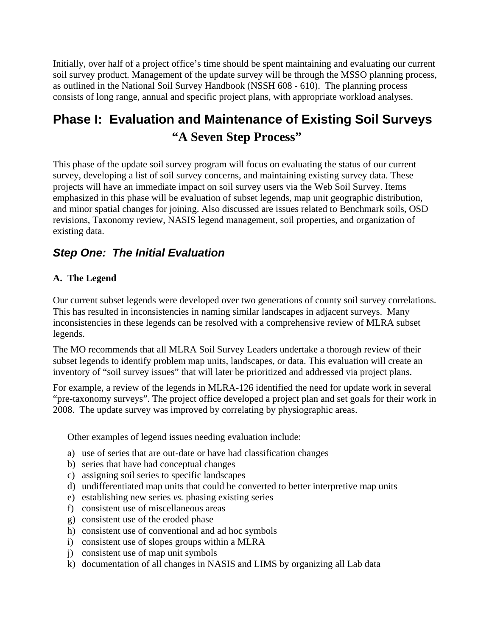Initially, over half of a project office's time should be spent maintaining and evaluating our current soil survey product. Management of the update survey will be through the MSSO planning process, as outlined in the National Soil Survey Handbook (NSSH 608 - 610). The planning process consists of long range, annual and specific project plans, with appropriate workload analyses.

## **Phase I: Evaluation and Maintenance of Existing Soil Surveys "A Seven Step Process"**

This phase of the update soil survey program will focus on evaluating the status of our current survey, developing a list of soil survey concerns, and maintaining existing survey data. These projects will have an immediate impact on soil survey users via the Web Soil Survey. Items emphasized in this phase will be evaluation of subset legends, map unit geographic distribution, and minor spatial changes for joining. Also discussed are issues related to Benchmark soils, OSD revisions, Taxonomy review, NASIS legend management, soil properties, and organization of existing data.

## *Step One: The Initial Evaluation*

#### **A. The Legend**

Our current subset legends were developed over two generations of county soil survey correlations. This has resulted in inconsistencies in naming similar landscapes in adjacent surveys. Many inconsistencies in these legends can be resolved with a comprehensive review of MLRA subset legends.

The MO recommends that all MLRA Soil Survey Leaders undertake a thorough review of their subset legends to identify problem map units, landscapes, or data. This evaluation will create an inventory of "soil survey issues" that will later be prioritized and addressed via project plans.

For example, a review of the legends in MLRA-126 identified the need for update work in several "pre-taxonomy surveys". The project office developed a project plan and set goals for their work in 2008. The update survey was improved by correlating by physiographic areas.

Other examples of legend issues needing evaluation include:

- a) use of series that are out-date or have had classification changes
- b) series that have had conceptual changes
- c) assigning soil series to specific landscapes
- d) undifferentiated map units that could be converted to better interpretive map units
- e) establishing new series *vs.* phasing existing series
- f) consistent use of miscellaneous areas
- g) consistent use of the eroded phase
- h) consistent use of conventional and ad hoc symbols
- i) consistent use of slopes groups within a MLRA
- j) consistent use of map unit symbols
- k) documentation of all changes in NASIS and LIMS by organizing all Lab data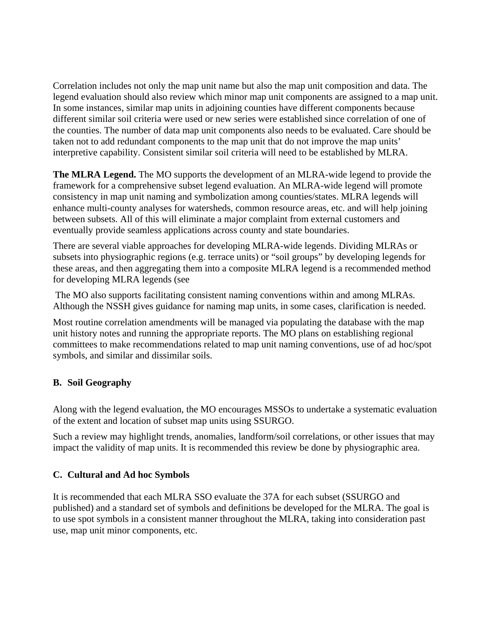Correlation includes not only the map unit name but also the map unit composition and data. The legend evaluation should also review which minor map unit components are assigned to a map unit. In some instances, similar map units in adjoining counties have different components because different similar soil criteria were used or new series were established since correlation of one of the counties. The number of data map unit components also needs to be evaluated. Care should be taken not to add redundant components to the map unit that do not improve the map units' interpretive capability. Consistent similar soil criteria will need to be established by MLRA.

**The MLRA Legend.** The MO supports the development of an MLRA-wide legend to provide the framework for a comprehensive subset legend evaluation. An MLRA-wide legend will promote consistency in map unit naming and symbolization among counties/states. MLRA legends will enhance multi-county analyses for watersheds, common resource areas, etc. and will help joining between subsets. All of this will eliminate a major complaint from external customers and eventually provide seamless applications across county and state boundaries.

There are several viable approaches for developing MLRA-wide legends. Dividing MLRAs or subsets into physiographic regions (e.g. terrace units) or "soil groups" by developing legends for these areas, and then aggregating them into a composite MLRA legend is a recommended method for developing MLRA legends (see

 The MO also supports facilitating consistent naming conventions within and among MLRAs. Although the NSSH gives guidance for naming map units, in some cases, clarification is needed.

Most routine correlation amendments will be managed via populating the database with the map unit history notes and running the appropriate reports. The MO plans on establishing regional committees to make recommendations related to map unit naming conventions, use of ad hoc/spot symbols, and similar and dissimilar soils.

#### **B. Soil Geography**

Along with the legend evaluation, the MO encourages MSSOs to undertake a systematic evaluation of the extent and location of subset map units using SSURGO.

Such a review may highlight trends, anomalies, landform/soil correlations, or other issues that may impact the validity of map units. It is recommended this review be done by physiographic area.

#### **C. Cultural and Ad hoc Symbols**

It is recommended that each MLRA SSO evaluate the 37A for each subset (SSURGO and published) and a standard set of symbols and definitions be developed for the MLRA. The goal is to use spot symbols in a consistent manner throughout the MLRA, taking into consideration past use, map unit minor components, etc.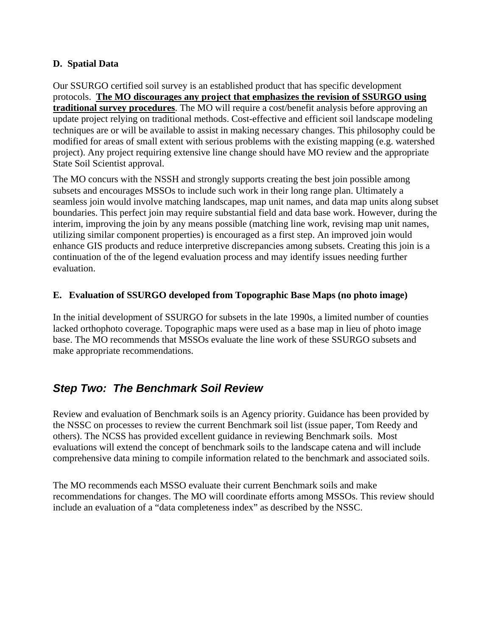#### **D. Spatial Data**

Our SSURGO certified soil survey is an established product that has specific development protocols. **The MO discourages any project that emphasizes the revision of SSURGO using traditional survey procedures**. The MO will require a cost/benefit analysis before approving an update project relying on traditional methods. Cost-effective and efficient soil landscape modeling techniques are or will be available to assist in making necessary changes. This philosophy could be modified for areas of small extent with serious problems with the existing mapping (e.g. watershed project). Any project requiring extensive line change should have MO review and the appropriate State Soil Scientist approval.

The MO concurs with the NSSH and strongly supports creating the best join possible among subsets and encourages MSSOs to include such work in their long range plan. Ultimately a seamless join would involve matching landscapes, map unit names, and data map units along subset boundaries. This perfect join may require substantial field and data base work. However, during the interim, improving the join by any means possible (matching line work, revising map unit names, utilizing similar component properties) is encouraged as a first step. An improved join would enhance GIS products and reduce interpretive discrepancies among subsets. Creating this join is a continuation of the of the legend evaluation process and may identify issues needing further evaluation.

#### **E. Evaluation of SSURGO developed from Topographic Base Maps (no photo image)**

In the initial development of SSURGO for subsets in the late 1990s, a limited number of counties lacked orthophoto coverage. Topographic maps were used as a base map in lieu of photo image base. The MO recommends that MSSOs evaluate the line work of these SSURGO subsets and make appropriate recommendations.

## *Step Two: The Benchmark Soil Review*

Review and evaluation of Benchmark soils is an Agency priority. Guidance has been provided by the NSSC on processes to review the current Benchmark soil list (issue paper, Tom Reedy and others). The NCSS has provided excellent guidance in reviewing Benchmark soils. Most evaluations will extend the concept of benchmark soils to the landscape catena and will include comprehensive data mining to compile information related to the benchmark and associated soils.

The MO recommends each MSSO evaluate their current Benchmark soils and make recommendations for changes. The MO will coordinate efforts among MSSOs. This review should include an evaluation of a "data completeness index" as described by the NSSC.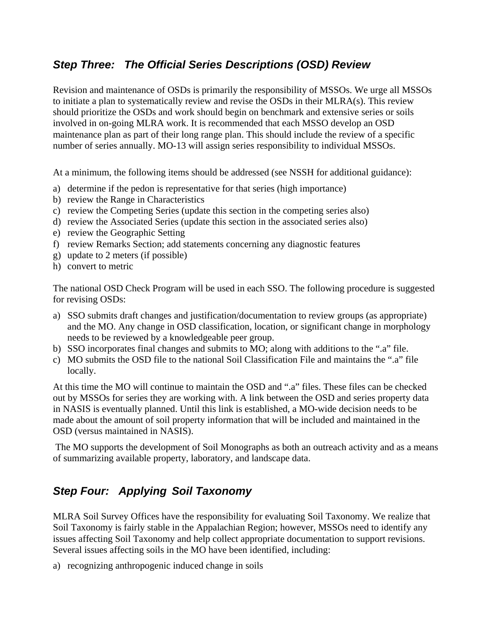## *Step Three: The Official Series Descriptions (OSD) Review*

Revision and maintenance of OSDs is primarily the responsibility of MSSOs. We urge all MSSOs to initiate a plan to systematically review and revise the OSDs in their MLRA(s). This review should prioritize the OSDs and work should begin on benchmark and extensive series or soils involved in on-going MLRA work. It is recommended that each MSSO develop an OSD maintenance plan as part of their long range plan. This should include the review of a specific number of series annually. MO-13 will assign series responsibility to individual MSSOs.

At a minimum, the following items should be addressed (see NSSH for additional guidance):

- a) determine if the pedon is representative for that series (high importance)
- b) review the Range in Characteristics
- c) review the Competing Series (update this section in the competing series also)
- d) review the Associated Series (update this section in the associated series also)
- e) review the Geographic Setting
- f) review Remarks Section; add statements concerning any diagnostic features
- g) update to 2 meters (if possible)
- h) convert to metric

The national OSD Check Program will be used in each SSO. The following procedure is suggested for revising OSDs:

- a) SSO submits draft changes and justification/documentation to review groups (as appropriate) and the MO. Any change in OSD classification, location, or significant change in morphology needs to be reviewed by a knowledgeable peer group.
- b) SSO incorporates final changes and submits to MO; along with additions to the ".a" file.
- c) MO submits the OSD file to the national Soil Classification File and maintains the ".a" file locally.

At this time the MO will continue to maintain the OSD and ".a" files. These files can be checked out by MSSOs for series they are working with. A link between the OSD and series property data in NASIS is eventually planned. Until this link is established, a MO-wide decision needs to be made about the amount of soil property information that will be included and maintained in the OSD (versus maintained in NASIS).

 The MO supports the development of Soil Monographs as both an outreach activity and as a means of summarizing available property, laboratory, and landscape data.

## *Step Four: Applying Soil Taxonomy*

MLRA Soil Survey Offices have the responsibility for evaluating Soil Taxonomy. We realize that Soil Taxonomy is fairly stable in the Appalachian Region; however, MSSOs need to identify any issues affecting Soil Taxonomy and help collect appropriate documentation to support revisions. Several issues affecting soils in the MO have been identified, including:

a) recognizing anthropogenic induced change in soils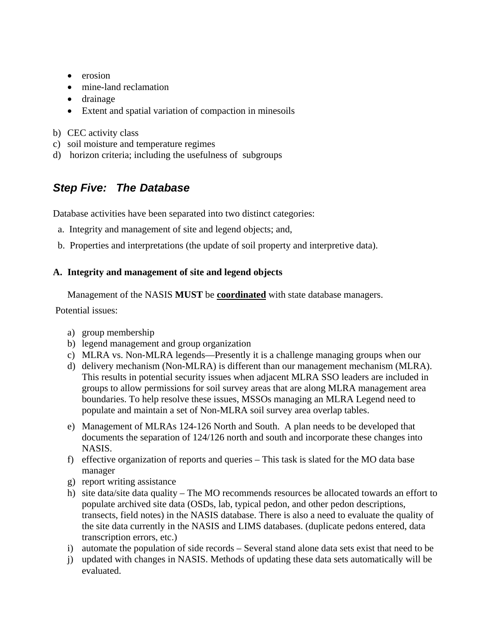- erosion
- mine-land reclamation
- drainage
- Extent and spatial variation of compaction in minesoils
- b) CEC activity class
- c) soil moisture and temperature regimes
- d) horizon criteria; including the usefulness of subgroups

## *Step Five: The Database*

Database activities have been separated into two distinct categories:

- a. Integrity and management of site and legend objects; and,
- b. Properties and interpretations (the update of soil property and interpretive data).

#### **A. Integrity and management of site and legend objects**

Management of the NASIS **MUST** be **coordinated** with state database managers.

Potential issues:

- a) group membership
- b) legend management and group organization
- c) MLRA vs. Non-MLRA legends—Presently it is a challenge managing groups when our
- d) delivery mechanism (Non-MLRA) is different than our management mechanism (MLRA). This results in potential security issues when adjacent MLRA SSO leaders are included in groups to allow permissions for soil survey areas that are along MLRA management area boundaries. To help resolve these issues, MSSOs managing an MLRA Legend need to populate and maintain a set of Non-MLRA soil survey area overlap tables.
- e) Management of MLRAs 124-126 North and South. A plan needs to be developed that documents the separation of 124/126 north and south and incorporate these changes into NASIS.
- f) effective organization of reports and queries This task is slated for the MO data base manager
- g) report writing assistance
- h) site data/site data quality The MO recommends resources be allocated towards an effort to populate archived site data (OSDs, lab, typical pedon, and other pedon descriptions, transects, field notes) in the NASIS database. There is also a need to evaluate the quality of the site data currently in the NASIS and LIMS databases. (duplicate pedons entered, data transcription errors, etc.)
- i) automate the population of side records Several stand alone data sets exist that need to be
- j) updated with changes in NASIS. Methods of updating these data sets automatically will be evaluated.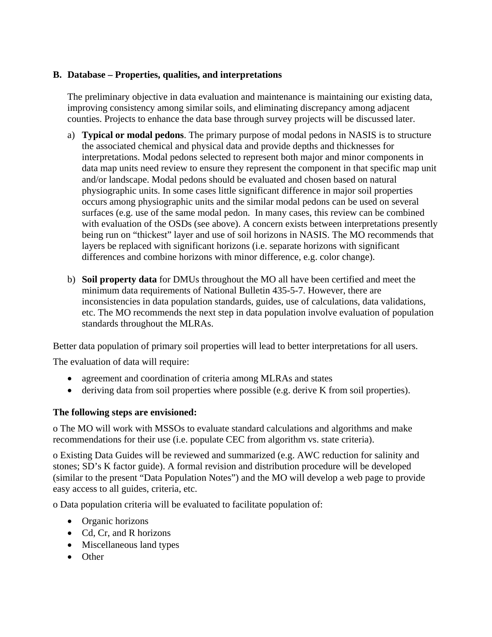#### **B. Database – Properties, qualities, and interpretations**

The preliminary objective in data evaluation and maintenance is maintaining our existing data, improving consistency among similar soils, and eliminating discrepancy among adjacent counties. Projects to enhance the data base through survey projects will be discussed later.

- a) **Typical or modal pedons**. The primary purpose of modal pedons in NASIS is to structure the associated chemical and physical data and provide depths and thicknesses for interpretations. Modal pedons selected to represent both major and minor components in data map units need review to ensure they represent the component in that specific map unit and/or landscape. Modal pedons should be evaluated and chosen based on natural physiographic units. In some cases little significant difference in major soil properties occurs among physiographic units and the similar modal pedons can be used on several surfaces (e.g. use of the same modal pedon. In many cases, this review can be combined with evaluation of the OSDs (see above). A concern exists between interpretations presently being run on "thickest" layer and use of soil horizons in NASIS. The MO recommends that layers be replaced with significant horizons (i.e. separate horizons with significant differences and combine horizons with minor difference, e.g. color change).
- b) **Soil property data** for DMUs throughout the MO all have been certified and meet the minimum data requirements of National Bulletin 435-5-7. However, there are inconsistencies in data population standards, guides, use of calculations, data validations, etc. The MO recommends the next step in data population involve evaluation of population standards throughout the MLRAs.

Better data population of primary soil properties will lead to better interpretations for all users.

The evaluation of data will require:

- agreement and coordination of criteria among MLRAs and states
- deriving data from soil properties where possible (e.g. derive K from soil properties).

#### **The following steps are envisioned:**

o The MO will work with MSSOs to evaluate standard calculations and algorithms and make recommendations for their use (i.e. populate CEC from algorithm vs. state criteria).

o Existing Data Guides will be reviewed and summarized (e.g. AWC reduction for salinity and stones; SD's K factor guide). A formal revision and distribution procedure will be developed (similar to the present "Data Population Notes") and the MO will develop a web page to provide easy access to all guides, criteria, etc.

o Data population criteria will be evaluated to facilitate population of:

- Organic horizons
- Cd, Cr, and R horizons
- Miscellaneous land types
- Other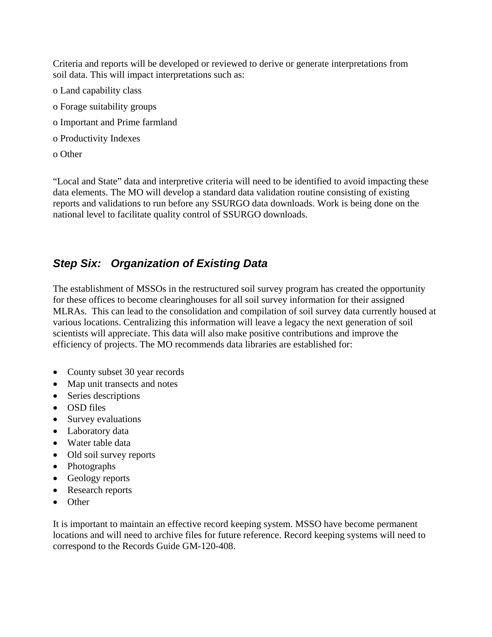Criteria and reports will be developed or reviewed to derive or generate interpretations from soil data. This will impact interpretations such as:

- o Land capability class
- o Forage suitability groups
- o Important and Prime farmland
- o Productivity Indexes
- o Other

"Local and State" data and interpretive criteria will need to be identified to avoid impacting these data elements. The MO will develop a standard data validation routine consisting of existing reports and validations to run before any SSURGO data downloads. Work is being done on the national level to facilitate quality control of SSURGO downloads.

## *Step Six: Organization of Existing Data*

The establishment of MSSOs in the restructured soil survey program has created the opportunity for these offices to become clearinghouses for all soil survey information for their assigned MLRAs. This can lead to the consolidation and compilation of soil survey data currently housed at various locations. Centralizing this information will leave a legacy the next generation of soil scientists will appreciate. This data will also make positive contributions and improve the efficiency of projects. The MO recommends data libraries are established for:

- County subset 30 year records
- Map unit transects and notes
- Series descriptions
- OSD files
- Survey evaluations
- Laboratory data
- Water table data
- Old soil survey reports
- Photographs
- Geology reports
- Research reports
- Other

It is important to maintain an effective record keeping system. MSSO have become permanent locations and will need to archive files for future reference. Record keeping systems will need to correspond to the Records Guide GM-120-408.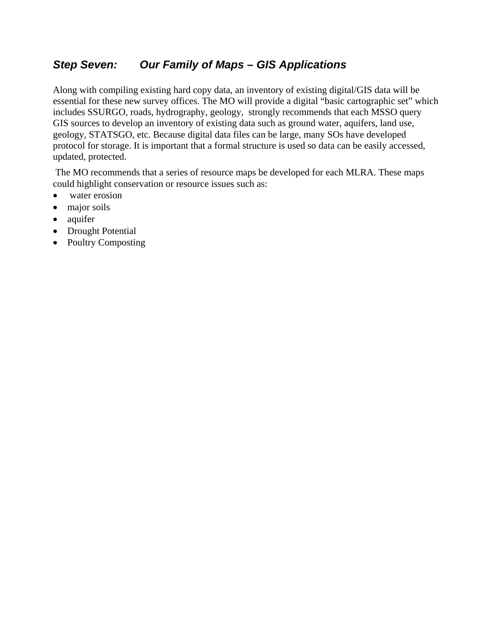## *Step Seven: Our Family of Maps – GIS Applications*

Along with compiling existing hard copy data, an inventory of existing digital/GIS data will be essential for these new survey offices. The MO will provide a digital "basic cartographic set" which includes SSURGO, roads, hydrography, geology, strongly recommends that each MSSO query GIS sources to develop an inventory of existing data such as ground water, aquifers, land use, geology, STATSGO, etc. Because digital data files can be large, many SOs have developed protocol for storage. It is important that a formal structure is used so data can be easily accessed, updated, protected.

 The MO recommends that a series of resource maps be developed for each MLRA. These maps could highlight conservation or resource issues such as:

- water erosion
- major soils
- aquifer
- Drought Potential
- Poultry Composting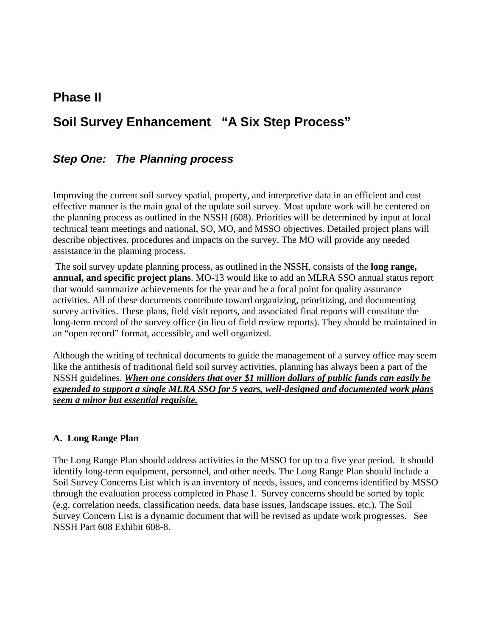## **Phase II**

## **Soil Survey Enhancement "A Six Step Process"**

### *Step One: The Planning process*

Improving the current soil survey spatial, property, and interpretive data in an efficient and cost effective manner is the main goal of the update soil survey. Most update work will be centered on the planning process as outlined in the NSSH (608). Priorities will be determined by input at local technical team meetings and national, SO, MO, and MSSO objectives. Detailed project plans will describe objectives, procedures and impacts on the survey. The MO will provide any needed assistance in the planning process.

 The soil survey update planning process, as outlined in the NSSH, consists of the **long range, annual, and specific project plans**. MO-13 would like to add an MLRA SSO annual status report that would summarize achievements for the year and be a focal point for quality assurance activities. All of these documents contribute toward organizing, prioritizing, and documenting survey activities. These plans, field visit reports, and associated final reports will constitute the long-term record of the survey office (in lieu of field review reports). They should be maintained in an "open record" format, accessible, and well organized.

Although the writing of technical documents to guide the management of a survey office may seem like the antithesis of traditional field soil survey activities, planning has always been a part of the NSSH guidelines. *When one considers that over \$1 million dollars of public funds can easily be expended to support a single MLRA SSO for 5 years, well-designed and documented work plans seem a minor but essential requisite.* 

#### **A. Long Range Plan**

The Long Range Plan should address activities in the MSSO for up to a five year period. It should identify long-term equipment, personnel, and other needs. The Long Range Plan should include a Soil Survey Concerns List which is an inventory of needs, issues, and concerns identified by MSSO through the evaluation process completed in Phase I. Survey concerns should be sorted by topic (e.g. correlation needs, classification needs, data base issues, landscape issues, etc.). The Soil Survey Concern List is a dynamic document that will be revised as update work progresses. See NSSH Part 608 Exhibit 608-8.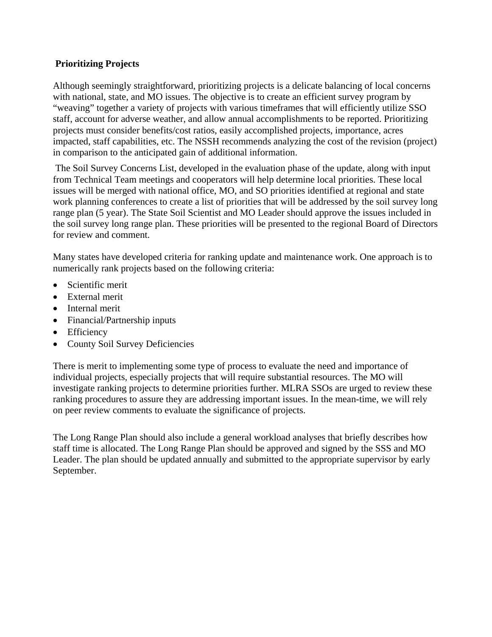#### **Prioritizing Projects**

Although seemingly straightforward, prioritizing projects is a delicate balancing of local concerns with national, state, and MO issues. The objective is to create an efficient survey program by "weaving" together a variety of projects with various timeframes that will efficiently utilize SSO staff, account for adverse weather, and allow annual accomplishments to be reported. Prioritizing projects must consider benefits/cost ratios, easily accomplished projects, importance, acres impacted, staff capabilities, etc. The NSSH recommends analyzing the cost of the revision (project) in comparison to the anticipated gain of additional information.

 The Soil Survey Concerns List, developed in the evaluation phase of the update, along with input from Technical Team meetings and cooperators will help determine local priorities. These local issues will be merged with national office, MO, and SO priorities identified at regional and state work planning conferences to create a list of priorities that will be addressed by the soil survey long range plan (5 year). The State Soil Scientist and MO Leader should approve the issues included in the soil survey long range plan. These priorities will be presented to the regional Board of Directors for review and comment.

Many states have developed criteria for ranking update and maintenance work. One approach is to numerically rank projects based on the following criteria:

- Scientific merit
- External merit
- Internal merit
- Financial/Partnership inputs
- Efficiency
- County Soil Survey Deficiencies

There is merit to implementing some type of process to evaluate the need and importance of individual projects, especially projects that will require substantial resources. The MO will investigate ranking projects to determine priorities further. MLRA SSOs are urged to review these ranking procedures to assure they are addressing important issues. In the mean-time, we will rely on peer review comments to evaluate the significance of projects.

The Long Range Plan should also include a general workload analyses that briefly describes how staff time is allocated. The Long Range Plan should be approved and signed by the SSS and MO Leader. The plan should be updated annually and submitted to the appropriate supervisor by early September.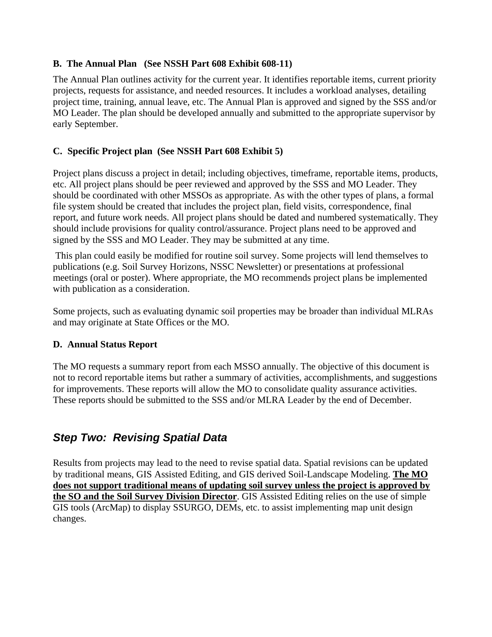#### **B. The Annual Plan (See NSSH Part 608 Exhibit 608-11)**

The Annual Plan outlines activity for the current year. It identifies reportable items, current priority projects, requests for assistance, and needed resources. It includes a workload analyses, detailing project time, training, annual leave, etc. The Annual Plan is approved and signed by the SSS and/or MO Leader. The plan should be developed annually and submitted to the appropriate supervisor by early September.

#### **C. Specific Project plan (See NSSH Part 608 Exhibit 5)**

Project plans discuss a project in detail; including objectives, timeframe, reportable items, products, etc. All project plans should be peer reviewed and approved by the SSS and MO Leader. They should be coordinated with other MSSOs as appropriate. As with the other types of plans, a formal file system should be created that includes the project plan, field visits, correspondence, final report, and future work needs. All project plans should be dated and numbered systematically. They should include provisions for quality control/assurance. Project plans need to be approved and signed by the SSS and MO Leader. They may be submitted at any time.

 This plan could easily be modified for routine soil survey. Some projects will lend themselves to publications (e.g. Soil Survey Horizons, NSSC Newsletter) or presentations at professional meetings (oral or poster). Where appropriate, the MO recommends project plans be implemented with publication as a consideration.

Some projects, such as evaluating dynamic soil properties may be broader than individual MLRAs and may originate at State Offices or the MO.

#### **D. Annual Status Report**

The MO requests a summary report from each MSSO annually. The objective of this document is not to record reportable items but rather a summary of activities, accomplishments, and suggestions for improvements. These reports will allow the MO to consolidate quality assurance activities. These reports should be submitted to the SSS and/or MLRA Leader by the end of December.

## *Step Two: Revising Spatial Data*

Results from projects may lead to the need to revise spatial data. Spatial revisions can be updated by traditional means, GIS Assisted Editing, and GIS derived Soil-Landscape Modeling. **The MO does not support traditional means of updating soil survey unless the project is approved by the SO and the Soil Survey Division Director**. GIS Assisted Editing relies on the use of simple GIS tools (ArcMap) to display SSURGO, DEMs, etc. to assist implementing map unit design changes.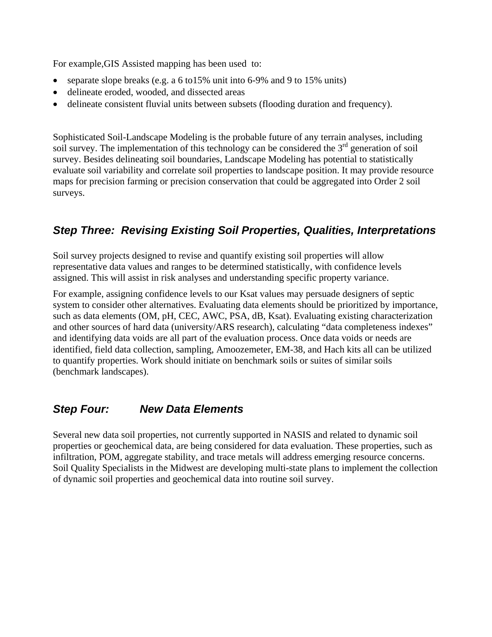For example,GIS Assisted mapping has been used to:

- separate slope breaks (e.g. a 6 to 15% unit into 6-9% and 9 to 15% units)
- delineate eroded, wooded, and dissected areas
- delineate consistent fluvial units between subsets (flooding duration and frequency).

Sophisticated Soil-Landscape Modeling is the probable future of any terrain analyses, including soil survey. The implementation of this technology can be considered the  $3<sup>rd</sup>$  generation of soil survey. Besides delineating soil boundaries, Landscape Modeling has potential to statistically evaluate soil variability and correlate soil properties to landscape position. It may provide resource maps for precision farming or precision conservation that could be aggregated into Order 2 soil surveys.

## *Step Three: Revising Existing Soil Properties, Qualities, Interpretations*

Soil survey projects designed to revise and quantify existing soil properties will allow representative data values and ranges to be determined statistically, with confidence levels assigned. This will assist in risk analyses and understanding specific property variance.

For example, assigning confidence levels to our Ksat values may persuade designers of septic system to consider other alternatives. Evaluating data elements should be prioritized by importance, such as data elements (OM, pH, CEC, AWC, PSA, dB, Ksat). Evaluating existing characterization and other sources of hard data (university/ARS research), calculating "data completeness indexes" and identifying data voids are all part of the evaluation process. Once data voids or needs are identified, field data collection, sampling, Amoozemeter, EM-38, and Hach kits all can be utilized to quantify properties. Work should initiate on benchmark soils or suites of similar soils (benchmark landscapes).

## *Step Four: New Data Elements*

Several new data soil properties, not currently supported in NASIS and related to dynamic soil properties or geochemical data, are being considered for data evaluation. These properties, such as infiltration, POM, aggregate stability, and trace metals will address emerging resource concerns. Soil Quality Specialists in the Midwest are developing multi-state plans to implement the collection of dynamic soil properties and geochemical data into routine soil survey.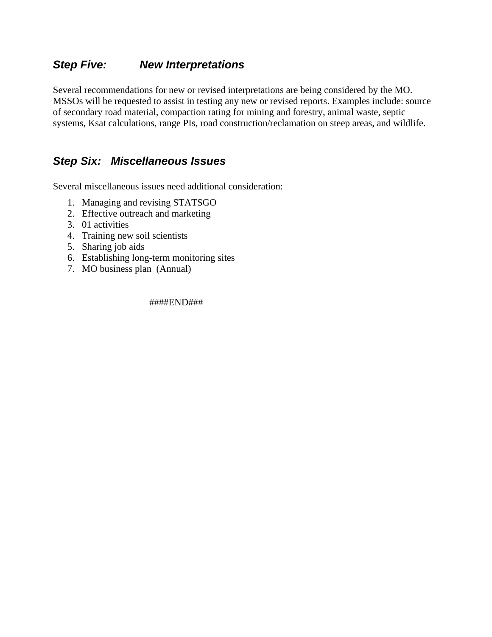### *Step Five: New Interpretations*

Several recommendations for new or revised interpretations are being considered by the MO. MSSOs will be requested to assist in testing any new or revised reports. Examples include: source of secondary road material, compaction rating for mining and forestry, animal waste, septic systems, Ksat calculations, range PIs, road construction/reclamation on steep areas, and wildlife.

## *Step Six: Miscellaneous Issues*

Several miscellaneous issues need additional consideration:

- 1. Managing and revising STATSGO
- 2. Effective outreach and marketing
- 3. 01 activities
- 4. Training new soil scientists
- 5. Sharing job aids
- 6. Establishing long-term monitoring sites
- 7. MO business plan (Annual)

####END###